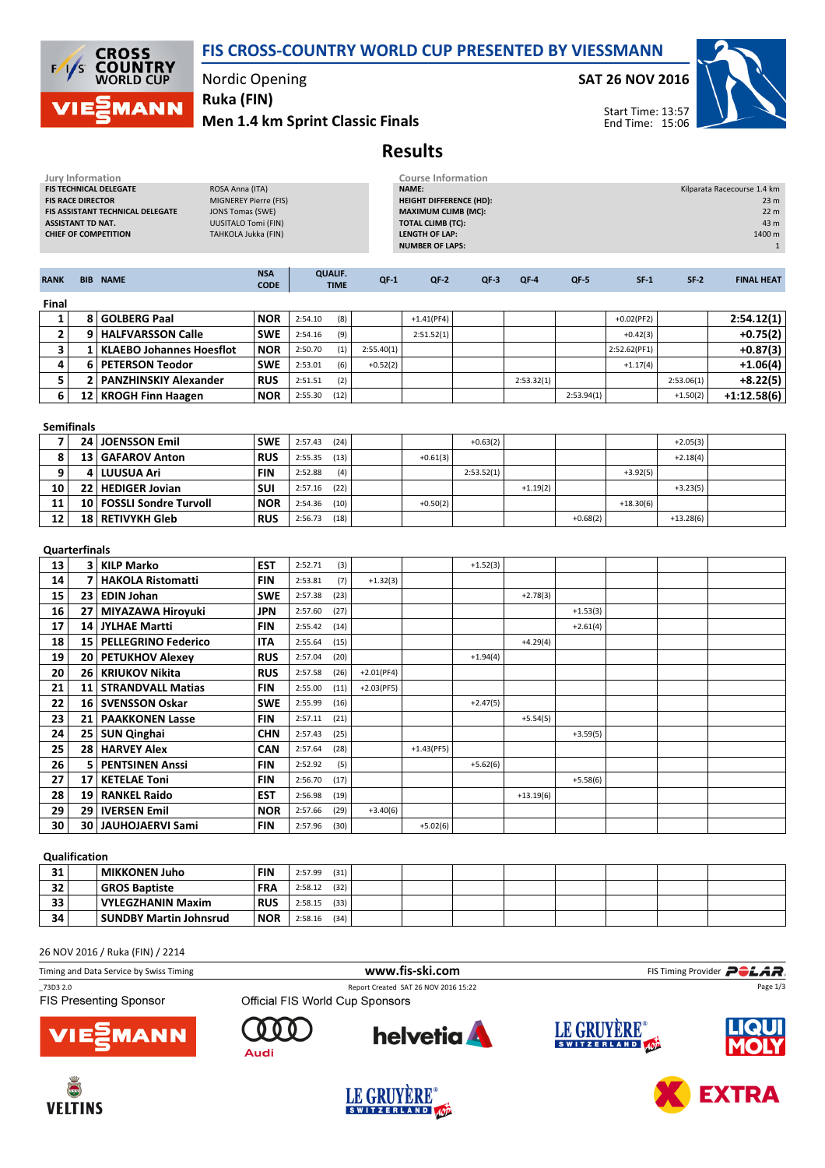



### Nordic Opening

Men 1.4 km Sprint Classic Finals Ruka (FIN)

#### SAT 26 NOV 2016



Start Time: 13:57 End Time: 15:06

# Results

| <b>Jury Information</b><br>FIS TECHNICAL DELEGATE<br>ROSA Anna (ITA)<br><b>FIS RACE DIRECTOR</b><br>FIS ASSISTANT TECHNICAL DELEGATE<br><b>JONS Tomas (SWE)</b><br><b>ASSISTANT TD NAT.</b><br><b>CHIEF OF COMPETITION</b> |                          |                                 | MIGNEREY Pierre (FIS)<br><b>UUSITALO Tomi (FIN)</b><br>TAHKOLA Jukka (FIN) |         | <b>Course Information</b><br><b>NAME:</b><br><b>HEIGHT DIFFERENCE (HD):</b><br><b>MAXIMUM CLIMB (MC):</b><br><b>TOTAL CLIMB (TC):</b><br><b>LENGTH OF LAP:</b><br><b>NUMBER OF LAPS:</b> |              |              |            |             |            |              | Kilparata Racecourse 1.4 km<br>23 <sub>m</sub><br>22 m<br>43 m<br>1400 m<br>$\mathbf{1}$ |                   |  |
|----------------------------------------------------------------------------------------------------------------------------------------------------------------------------------------------------------------------------|--------------------------|---------------------------------|----------------------------------------------------------------------------|---------|------------------------------------------------------------------------------------------------------------------------------------------------------------------------------------------|--------------|--------------|------------|-------------|------------|--------------|------------------------------------------------------------------------------------------|-------------------|--|
| <b>RANK</b>                                                                                                                                                                                                                |                          | <b>BIB NAME</b>                 | <b>NSA</b><br><b>CODE</b>                                                  |         | <b>QUALIF.</b><br><b>TIME</b>                                                                                                                                                            | $QF-1$       | $QF-2$       | $QF-3$     | $QF-4$      | $QF-5$     | $SF-1$       | $SF-2$                                                                                   | <b>FINAL HEAT</b> |  |
| Final                                                                                                                                                                                                                      |                          |                                 |                                                                            |         |                                                                                                                                                                                          |              |              |            |             |            |              |                                                                                          |                   |  |
| 1                                                                                                                                                                                                                          | 8                        | <b>GOLBERG Paal</b>             | <b>NOR</b>                                                                 | 2:54.10 | (8)                                                                                                                                                                                      |              | $+1.41(PF4)$ |            |             |            | $+0.02(PF2)$ |                                                                                          | 2:54.12(1)        |  |
| $\overline{\mathbf{2}}$                                                                                                                                                                                                    |                          | 9   HALFVARSSON Calle           | <b>SWE</b>                                                                 | 2:54.16 | (9)                                                                                                                                                                                      |              | 2:51.52(1)   |            |             |            | $+0.42(3)$   |                                                                                          | $+0.75(2)$        |  |
| 3                                                                                                                                                                                                                          | $1\vert$                 | <b>KLAEBO Johannes Hoesflot</b> | <b>NOR</b>                                                                 | 2:50.70 | (1)                                                                                                                                                                                      | 2:55.40(1)   |              |            |             |            | 2:52.62(PF1) |                                                                                          | $+0.87(3)$        |  |
| 4                                                                                                                                                                                                                          | 6                        | <b>PETERSON Teodor</b>          | <b>SWE</b>                                                                 | 2:53.01 | (6)                                                                                                                                                                                      | $+0.52(2)$   |              |            |             |            | $+1.17(4)$   |                                                                                          | $+1.06(4)$        |  |
| 5                                                                                                                                                                                                                          | 2 <sup>1</sup>           | <b>PANZHINSKIY Alexander</b>    | <b>RUS</b>                                                                 | 2:51.51 | (2)                                                                                                                                                                                      |              |              |            | 2:53.32(1)  |            |              | 2:53.06(1)                                                                               | +8.22(5)          |  |
| 6                                                                                                                                                                                                                          |                          | 12   KROGH Finn Haagen          | <b>NOR</b>                                                                 | 2:55.30 | (12)                                                                                                                                                                                     |              |              |            |             | 2:53.94(1) |              | $+1.50(2)$                                                                               | $+1:12.58(6)$     |  |
| <b>Semifinals</b>                                                                                                                                                                                                          |                          |                                 |                                                                            |         |                                                                                                                                                                                          |              |              |            |             |            |              |                                                                                          |                   |  |
| $\overline{7}$                                                                                                                                                                                                             |                          | 24 JOENSSON Emil                | <b>SWE</b>                                                                 | 2:57.43 | (24)                                                                                                                                                                                     |              |              | $+0.63(2)$ |             |            |              | $+2.05(3)$                                                                               |                   |  |
| 8                                                                                                                                                                                                                          | 13                       | <b>GAFAROV Anton</b>            | <b>RUS</b>                                                                 | 2:55.35 | (13)                                                                                                                                                                                     |              | $+0.61(3)$   |            |             |            |              | $+2.18(4)$                                                                               |                   |  |
| 9                                                                                                                                                                                                                          | 4                        | <b>LUUSUA Ari</b>               | <b>FIN</b>                                                                 | 2:52.88 | (4)                                                                                                                                                                                      |              |              | 2:53.52(1) |             |            | $+3.92(5)$   |                                                                                          |                   |  |
| 10                                                                                                                                                                                                                         | 22                       | <b>HEDIGER Jovian</b>           | SUI                                                                        | 2:57.16 | (22)                                                                                                                                                                                     |              |              |            | $+1.19(2)$  |            |              | $+3.23(5)$                                                                               |                   |  |
| 11                                                                                                                                                                                                                         | 10 <sup>1</sup>          | <b>FOSSLI Sondre Turvoll</b>    | <b>NOR</b>                                                                 | 2:54.36 | (10)                                                                                                                                                                                     |              | $+0.50(2)$   |            |             |            | $+18.30(6)$  |                                                                                          |                   |  |
| 12                                                                                                                                                                                                                         | 18 l                     | <b>RETIVYKH Gleb</b>            | <b>RUS</b>                                                                 | 2:56.73 | (18)                                                                                                                                                                                     |              |              |            |             | $+0.68(2)$ |              | $+13.28(6)$                                                                              |                   |  |
| <b>Quarterfinals</b>                                                                                                                                                                                                       |                          |                                 |                                                                            |         |                                                                                                                                                                                          |              |              |            |             |            |              |                                                                                          |                   |  |
| 13                                                                                                                                                                                                                         | 3                        | <b>KILP Marko</b>               | <b>EST</b>                                                                 | 2:52.71 | (3)                                                                                                                                                                                      |              |              | $+1.52(3)$ |             |            |              |                                                                                          |                   |  |
| 14                                                                                                                                                                                                                         | $\overline{\phantom{a}}$ | <b>HAKOLA Ristomatti</b>        | <b>FIN</b>                                                                 | 2:53.81 | (7)                                                                                                                                                                                      | $+1.32(3)$   |              |            |             |            |              |                                                                                          |                   |  |
| 15                                                                                                                                                                                                                         | 23                       | <b>EDIN Johan</b>               | <b>SWE</b>                                                                 | 2:57.38 | (23)                                                                                                                                                                                     |              |              |            | $+2.78(3)$  |            |              |                                                                                          |                   |  |
| 16                                                                                                                                                                                                                         | 27                       | <b>MIYAZAWA Hiroyuki</b>        | <b>JPN</b>                                                                 | 2:57.60 | (27)                                                                                                                                                                                     |              |              |            |             | $+1.53(3)$ |              |                                                                                          |                   |  |
| 17                                                                                                                                                                                                                         | 14 I                     | <b>JYLHAE Martti</b>            | <b>FIN</b>                                                                 | 2:55.42 | (14)                                                                                                                                                                                     |              |              |            |             | $+2.61(4)$ |              |                                                                                          |                   |  |
| 18                                                                                                                                                                                                                         | 15 <sup>1</sup>          | <b>PELLEGRINO Federico</b>      | <b>ITA</b>                                                                 | 2:55.64 | (15)                                                                                                                                                                                     |              |              |            | $+4.29(4)$  |            |              |                                                                                          |                   |  |
| 19                                                                                                                                                                                                                         | 20                       | <b>PETUKHOV Alexey</b>          | <b>RUS</b>                                                                 | 2:57.04 | (20)                                                                                                                                                                                     |              |              | $+1.94(4)$ |             |            |              |                                                                                          |                   |  |
| 20                                                                                                                                                                                                                         |                          | 26   KRIUKOV Nikita             | <b>RUS</b>                                                                 | 2:57.58 | (26)                                                                                                                                                                                     | $+2.01(PF4)$ |              |            |             |            |              |                                                                                          |                   |  |
| 21                                                                                                                                                                                                                         | 11                       | <b>STRANDVALL Matias</b>        | <b>FIN</b>                                                                 | 2:55.00 | (11)                                                                                                                                                                                     | $+2.03(PF5)$ |              |            |             |            |              |                                                                                          |                   |  |
| 22                                                                                                                                                                                                                         | 16 <sup>1</sup>          | <b>SVENSSON Oskar</b>           | <b>SWE</b>                                                                 | 2:55.99 | (16)                                                                                                                                                                                     |              |              | $+2.47(5)$ |             |            |              |                                                                                          |                   |  |
| 23                                                                                                                                                                                                                         |                          | 21   PAAKKONEN Lasse            | <b>FIN</b>                                                                 | 2:57.11 | (21)                                                                                                                                                                                     |              |              |            | $+5.54(5)$  |            |              |                                                                                          |                   |  |
| 24                                                                                                                                                                                                                         | 25                       | <b>SUN Qinghai</b>              | <b>CHN</b>                                                                 | 2:57.43 | (25)                                                                                                                                                                                     |              |              |            |             | $+3.59(5)$ |              |                                                                                          |                   |  |
| 25                                                                                                                                                                                                                         | 28                       | <b>HARVEY Alex</b>              | <b>CAN</b>                                                                 | 2:57.64 | (28)                                                                                                                                                                                     |              | $+1.43(PF5)$ |            |             |            |              |                                                                                          |                   |  |
| 26                                                                                                                                                                                                                         | 5                        | <b>PENTSINEN Anssi</b>          | <b>FIN</b>                                                                 | 2:52.92 | (5)                                                                                                                                                                                      |              |              | $+5.62(6)$ |             |            |              |                                                                                          |                   |  |
| 27                                                                                                                                                                                                                         | 17                       | <b>KETELAE Toni</b>             | <b>FIN</b>                                                                 | 2:56.70 | (17)                                                                                                                                                                                     |              |              |            |             | $+5.58(6)$ |              |                                                                                          |                   |  |
| 28                                                                                                                                                                                                                         | 19                       | <b>RANKEL Raido</b>             | <b>EST</b>                                                                 | 2:56.98 | (19)                                                                                                                                                                                     |              |              |            | $+13.19(6)$ |            |              |                                                                                          |                   |  |
| 29                                                                                                                                                                                                                         | 29                       | <b>IVERSEN Emil</b>             | <b>NOR</b>                                                                 | 2:57.66 | (29)                                                                                                                                                                                     | $+3.40(6)$   |              |            |             |            |              |                                                                                          |                   |  |
| 30                                                                                                                                                                                                                         | 30                       | <b>JAUHOJAERVI Sami</b>         | <b>FIN</b>                                                                 | 2:57.96 | (30)                                                                                                                                                                                     |              | $+5.02(6)$   |            |             |            |              |                                                                                          |                   |  |
|                                                                                                                                                                                                                            |                          |                                 |                                                                            |         |                                                                                                                                                                                          |              |              |            |             |            |              |                                                                                          |                   |  |

#### Qualification

| 31 | <b>MIKKONEN Juho</b>          | <b>FIN</b> | (31)<br>2:57.99 |  |  |  |  |
|----|-------------------------------|------------|-----------------|--|--|--|--|
| 32 | <b>GROS Baptiste</b>          | <b>FRA</b> | (32)<br>2:58.12 |  |  |  |  |
| 33 | VYLEGZHANIN Maxim             | <b>RUS</b> | (33)<br>2:58.15 |  |  |  |  |
| 34 | <b>SUNDBY Martin Johnsrud</b> | <b>NOR</b> | (34)<br>2:58.16 |  |  |  |  |

26 NOV 2016 / Ruka (FIN) / 2214

| Timing and Data Service by Swiss Timing |                                 | www.fis-ski.com                      |             | FIS Timing Provider <b>POLAR</b> |  |  |
|-----------------------------------------|---------------------------------|--------------------------------------|-------------|----------------------------------|--|--|
| 73D3 2.0                                |                                 | Report Created SAT 26 NOV 2016 15:22 |             | Page 1/3                         |  |  |
| <b>FIS Presenting Sponsor</b>           | Official FIS World Cup Sponsors |                                      |             |                                  |  |  |
| <b>VIEWANN</b>                          | Audi                            | <b>helvetia</b>                      | LE GRUYERE® | <b>LIQUI</b>                     |  |  |





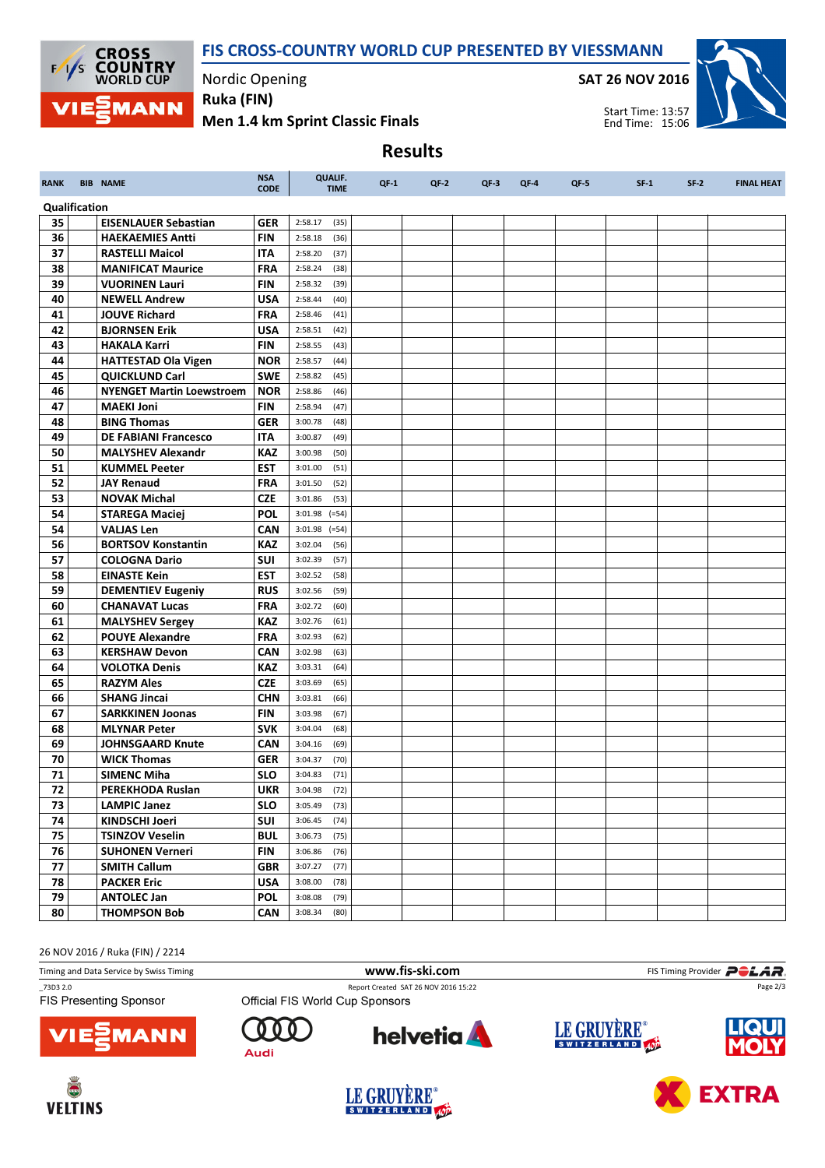## FIS CROSS-COUNTRY WORLD CUP PRESENTED BY VIESSMANN

Results



RANK BIB NAME NAME NEWSA

Nordic Opening

CODE

Ruka (FIN)

Men 1.4 km Sprint Classic Finals

QUALIF.

SAT 26 NOV 2016

TIME QF-1 QF-2 QF-3 QF-4 QF-5 SF-1 SF-2 FINAL HEAT



Start Time: 13:57 End Time: 15:06

Qualification 35 EISENLAUER Sebastian GER 2:58.17 (35) 36 HAEKAEMIES Antti FIN 2:58.18 (36) **37 RASTELLI Maicol ITA** 2:58.20 (37) **38 MANIFICAT Maurice** FRA 2:58.24 (38) **39 VUORINEN Lauri** FIN 2:58.32 (39) **40 NEWELL Andrew USA** 2:58.44 (40) **41 JOUVE Richard FRA** 2:58.46 (41) **42 BJORNSEN Erik USA** 2:58.51 (42) **43 HAKALA Karri FIN** 2:58.55 (43) **44 | HATTESTAD Ola Vigen | NOR | 2:58.57 (44) 45 QUICKLUND Carl SWE** 2:58.82 (45) 46 **NYENGET Martin Loewstroem | NOR | 2:58.86** (46) **47 MAEKI Joni** FIN 2:58.94 (47) **48 BING Thomas GER** 3:00.78 (48) 49 DE FABIANI Francesco ITA 3:00.87 (49) 50 MALYSHEV Alexandr KAZ 3:00.98 (50) **51 | KUMMEL Peeter | EST | 3:01.00 (51)** 52 JAY Renaud FRA 3:01.50 (52) **53 NOVAK Michal CZE** 3:01.86 (53) **54 STAREGA Maciej** POL 3:01.98 (=54) **54 VALJAS Len CAN** 3:01.98 (=54) **56 BORTSOV Konstantin KAZ** 3:02.04 (56) **57 COLOGNA Dario SUI** 3:02.39 (57) **58 EINASTE Kein EST** 3:02.52 (58) 59 DEMENTIEV Eugeniy RUS 3:02.56 (59) **60 CHANAVAT Lucas** FRA 3:02.72 (60) 61 MALYSHEV Sergey KAZ 3:02.76 (61) 62 POUYE Alexandre FRA 3:02.93 (62) **63 KERSHAW Devon CAN** 3:02.98 (63) **64 VOLOTKA Denis KAZ** 3:03.31 (64) 65 RAZYM Ales CZE 3:03.69 (65) **66 SHANG Jincai** CHN 3:03.81 (66) **67 SARKKINEN Joonas** FIN 3:03.98 (67) **68 MLYNAR Peter** SVK 3:04.04 (68) 69 JOHNSGAARD Knute CAN 3:04.16 (69) **70** WICK Thomas GER 3:04.37 (70) **71** SIMENC Miha SLO 3:04.83 (71) 72 PEREKHODA Ruslan UKR 3:04.98 (72) 73 LAMPIC Janez SLO 3:05.49 (73) 74 | KINDSCHI Joeri | SUI | 3:06.45 (74) 75 | TSINZOV Veselin | BUL | 3:06.73 (75) 76 | SUHONEN Verneri | FIN | 3:06.86 (76) **77 | SMITH Callum | GBR** | 3:07.27 (77) **78 | PACKER Eric | USA | 3:08.00 (78) 79 | ANTOLEC Jan | POL | 3:08.08 (79)** 80 THOMPSON Bob CAN 3:08.34 (80)

26 NOV 2016 / Ruka (FIN) / 2214

| Timing and Data Service by Swiss Timing   |                                 | www.fis-ski.com                      | FIS Timing Provider <b>POLAR</b> |             |  |  |
|-------------------------------------------|---------------------------------|--------------------------------------|----------------------------------|-------------|--|--|
| 73D3 2.0<br><b>FIS Presenting Sponsor</b> | Official FIS World Cup Sponsors | Report Created SAT 26 NOV 2016 15:22 |                                  | Page 2/3    |  |  |
| <b>VIESMANN</b>                           | Audi                            | <b>helvetia</b>                      | LE GRUYÈRE®                      | <b>IQUI</b> |  |  |